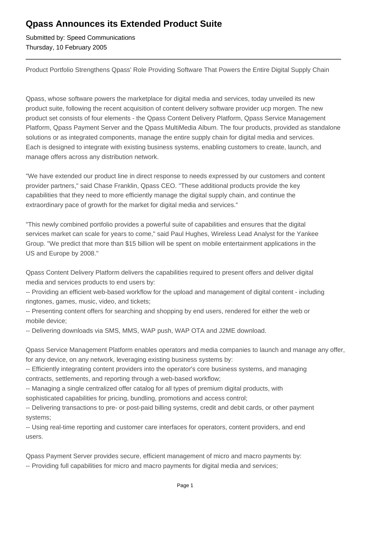## **Qpass Announces its Extended Product Suite**

Submitted by: Speed Communications Thursday, 10 February 2005

Product Portfolio Strengthens Qpass' Role Providing Software That Powers the Entire Digital Supply Chain

Qpass, whose software powers the marketplace for digital media and services, today unveiled its new product suite, following the recent acquisition of content delivery software provider ucp morgen. The new product set consists of four elements - the Qpass Content Delivery Platform, Qpass Service Management Platform, Qpass Payment Server and the Qpass MultiMedia Album. The four products, provided as standalone solutions or as integrated components, manage the entire supply chain for digital media and services. Each is designed to integrate with existing business systems, enabling customers to create, launch, and manage offers across any distribution network.

"We have extended our product line in direct response to needs expressed by our customers and content provider partners," said Chase Franklin, Qpass CEO. "These additional products provide the key capabilities that they need to more efficiently manage the digital supply chain, and continue the extraordinary pace of growth for the market for digital media and services."

"This newly combined portfolio provides a powerful suite of capabilities and ensures that the digital services market can scale for years to come," said Paul Hughes, Wireless Lead Analyst for the Yankee Group. "We predict that more than \$15 billion will be spent on mobile entertainment applications in the US and Europe by 2008."

Qpass Content Delivery Platform delivers the capabilities required to present offers and deliver digital media and services products to end users by:

-- Providing an efficient web-based workflow for the upload and management of digital content - including ringtones, games, music, video, and tickets;

-- Presenting content offers for searching and shopping by end users, rendered for either the web or mobile device;

-- Delivering downloads via SMS, MMS, WAP push, WAP OTA and J2ME download.

Qpass Service Management Platform enables operators and media companies to launch and manage any offer, for any device, on any network, leveraging existing business systems by:

-- Efficiently integrating content providers into the operator's core business systems, and managing contracts, settlements, and reporting through a web-based workflow;

-- Managing a single centralized offer catalog for all types of premium digital products, with sophisticated capabilities for pricing, bundling, promotions and access control;

-- Delivering transactions to pre- or post-paid billing systems, credit and debit cards, or other payment systems;

-- Using real-time reporting and customer care interfaces for operators, content providers, and end users.

Qpass Payment Server provides secure, efficient management of micro and macro payments by: -- Providing full capabilities for micro and macro payments for digital media and services;